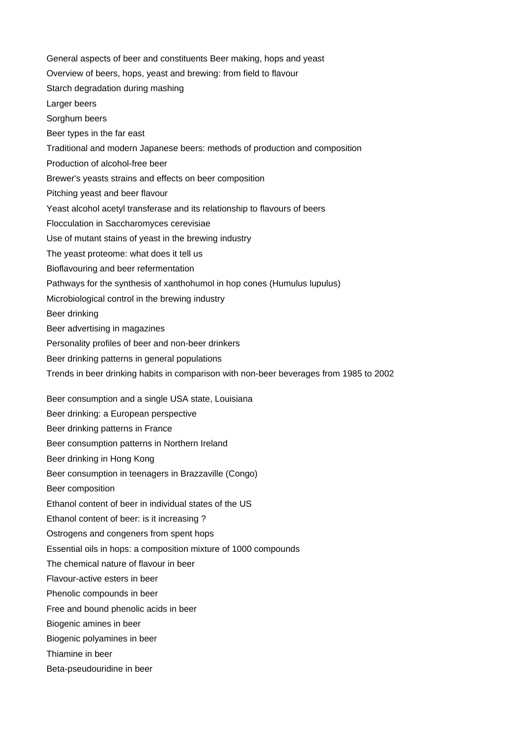General aspects of beer and constituents Beer making, hops and yeast Overview of beers, hops, yeast and brewing: from field to flavour Starch degradation during mashing Larger beers Sorghum beers Beer types in the far east Traditional and modern Japanese beers: methods of production and composition Production of alcohol-free beer Brewer's yeasts strains and effects on beer composition Pitching yeast and beer flavour Yeast alcohol acetyl transferase and its relationship to flavours of beers Flocculation in Saccharomyces cerevisiae Use of mutant stains of yeast in the brewing industry The yeast proteome: what does it tell us Bioflavouring and beer refermentation Pathways for the synthesis of xanthohumol in hop cones (Humulus lupulus) Microbiological control in the brewing industry Beer drinking Beer advertising in magazines Personality profiles of beer and non-beer drinkers Beer drinking patterns in general populations Trends in beer drinking habits in comparison with non-beer beverages from 1985 to 2002 Beer consumption and a single USA state, Louisiana Beer drinking: a European perspective Beer drinking patterns in France Beer consumption patterns in Northern Ireland Beer drinking in Hong Kong Beer consumption in teenagers in Brazzaville (Congo) Beer composition Ethanol content of beer in individual states of the US Ethanol content of beer: is it increasing ? Ostrogens and congeners from spent hops Essential oils in hops: a composition mixture of 1000 compounds The chemical nature of flavour in beer Flavour-active esters in beer Phenolic compounds in beer Free and bound phenolic acids in beer Biogenic amines in beer Biogenic polyamines in beer Thiamine in beer Beta-pseudouridine in beer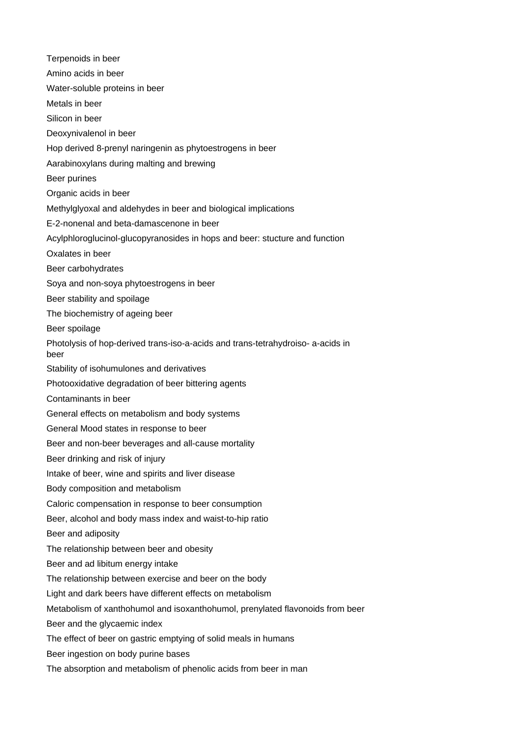Terpenoids in beer Amino acids in beer Water-soluble proteins in beer Metals in beer Silicon in beer Deoxynivalenol in beer Hop derived 8-prenyl naringenin as phytoestrogens in beer Aarabinoxylans during malting and brewing Beer purines Organic acids in beer Methylglyoxal and aldehydes in beer and biological implications E-2-nonenal and beta-damascenone in beer Acylphloroglucinol-glucopyranosides in hops and beer: stucture and function Oxalates in beer Beer carbohydrates Soya and non-soya phytoestrogens in beer Beer stability and spoilage The biochemistry of ageing beer Beer spoilage Photolysis of hop-derived trans-iso-a-acids and trans-tetrahydroiso- a-acids in beer Stability of isohumulones and derivatives Photooxidative degradation of beer bittering agents Contaminants in beer General effects on metabolism and body systems General Mood states in response to beer Beer and non-beer beverages and all-cause mortality Beer drinking and risk of injury Intake of beer, wine and spirits and liver disease Body composition and metabolism Caloric compensation in response to beer consumption Beer, alcohol and body mass index and waist-to-hip ratio Beer and adiposity The relationship between beer and obesity Beer and ad libitum energy intake The relationship between exercise and beer on the body Light and dark beers have different effects on metabolism Metabolism of xanthohumol and isoxanthohumol, prenylated flavonoids from beer Beer and the glycaemic index The effect of beer on gastric emptying of solid meals in humans Beer ingestion on body purine bases The absorption and metabolism of phenolic acids from beer in man